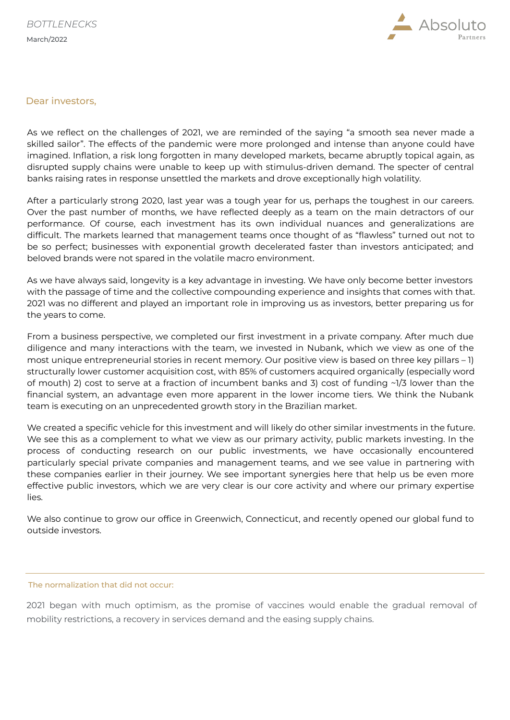

#### Dear investors,

As we reflect on the challenges of 2021, we are reminded of the saying "a smooth sea never made a skilled sailor". The effects of the pandemic were more prolonged and intense than anyone could have imagined. Inflation, a risk long forgotten in many developed markets, became abruptly topical again, as disrupted supply chains were unable to keep up with stimulus-driven demand. The specter of central banks raising rates in response unsettled the markets and drove exceptionally high volatility.

After a particularly strong 2020, last year was a tough year for us, perhaps the toughest in our careers. Over the past number of months, we have reflected deeply as a team on the main detractors of our performance. Of course, each investment has its own individual nuances and generalizations are difficult. The markets learned that management teams once thought of as "flawless" turned out not to be so perfect; businesses with exponential growth decelerated faster than investors anticipated; and beloved brands were not spared in the volatile macro environment.

As we have always said, longevity is a key advantage in investing. We have only become better investors with the passage of time and the collective compounding experience and insights that comes with that. 2021 was no different and played an important role in improving us as investors, better preparing us for the years to come.

From a business perspective, we completed our first investment in a private company. After much due diligence and many interactions with the team, we invested in Nubank, which we view as one of the most unique entrepreneurial stories in recent memory. Our positive view is based on three key pillars – 1) structurally lower customer acquisition cost, with 85% of customers acquired organically (especially word of mouth) 2) cost to serve at a fraction of incumbent banks and 3) cost of funding ~1/3 lower than the financial system, an advantage even more apparent in the lower income tiers. We think the Nubank team is executing on an unprecedented growth story in the Brazilian market.

We created a specific vehicle for this investment and will likely do other similar investments in the future. We see this as a complement to what we view as our primary activity, public markets investing. In the process of conducting research on our public investments, we have occasionally encountered particularly special private companies and management teams, and we see value in partnering with these companies earlier in their journey. We see important synergies here that help us be even more effective public investors, which we are very clear is our core activity and where our primary expertise lies.

We also continue to grow our office in Greenwich, Connecticut, and recently opened our global fund to outside investors.

#### The normalization that did not occur:

 2021 began with much optimism, as the promise of vaccines would enable the gradual removal of mobility restrictions, a recovery in services demand and the easing supply chains.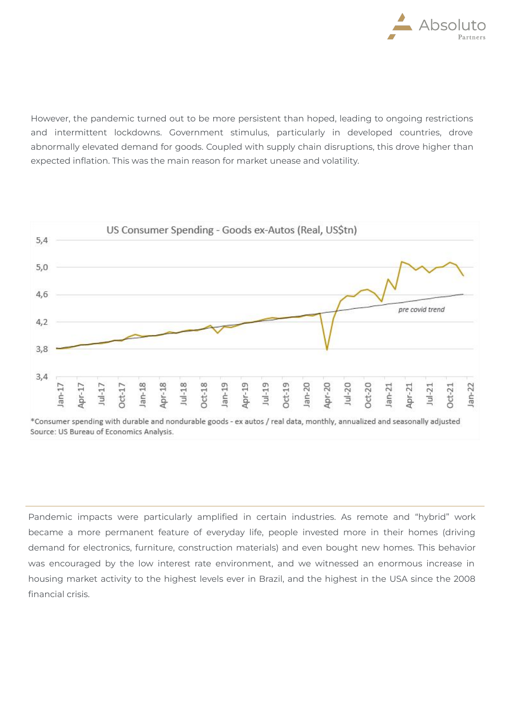

However, the pandemic turned out to be more persistent than hoped, leading to ongoing restrictions and intermittent lockdowns. Government stimulus, particularly in developed countries, drove abnormally elevated demand for goods. Coupled with supply chain disruptions, this drove higher than expected inflation. This was the main reason for market unease and volatility.



<sup>\*</sup>Consumer spending with durable and nondurable goods - ex autos / real data, monthly, annualized and seasonally adjusted Source: US Bureau of Economics Analysis.

Pandemic impacts were particularly amplified in certain industries. As remote and "hybrid" work became a more permanent feature of everyday life, people invested more in their homes (driving demand for electronics, furniture, construction materials) and even bought new homes. This behavior was encouraged by the low interest rate environment, and we witnessed an enormous increase in housing market activity to the highest levels ever in Brazil, and the highest in the USA since the 2008 financial crisis.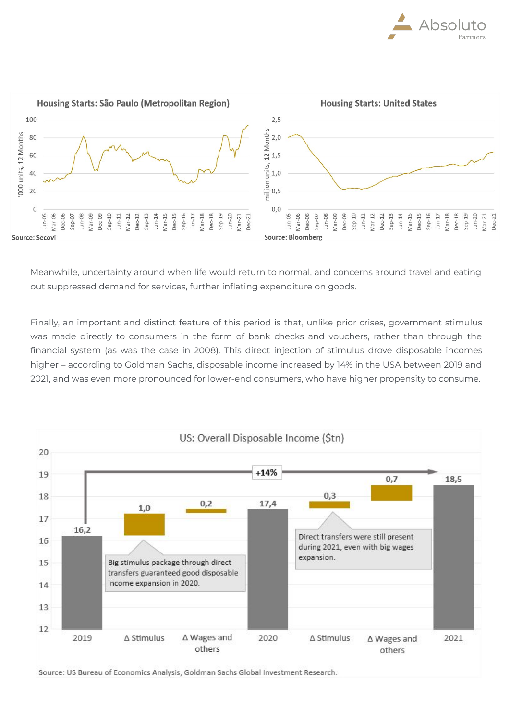



Meanwhile, uncertainty around when life would return to normal, and concerns around travel and eating out suppressed demand for services, further inflating expenditure on goods.

Finally, an important and distinct feature of this period is that, unlike prior crises, government stimulus was made directly to consumers in the form of bank checks and vouchers, rather than through the financial system (as was the case in 2008). This direct injection of stimulus drove disposable incomes higher – according to Goldman Sachs, disposable income increased by 14% in the USA between 2019 and 2021, and was even more pronounced for lower-end consumers, who have higher propensity to consume.



Source: US Bureau of Economics Analysis, Goldman Sachs Global Investment Research.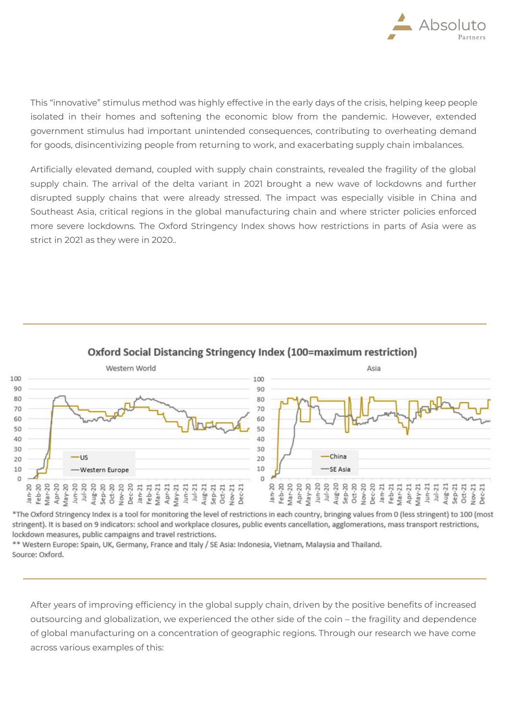

This "innovative" stimulus method was highly effective in the early days of the crisis, helping keep people isolated in their homes and softening the economic blow from the pandemic. However, extended government stimulus had important unintended consequences, contributing to overheating demand for goods, disincentivizing people from returning to work, and exacerbating supply chain imbalances.

Artificially elevated demand, coupled with supply chain constraints, revealed the fragility of the global supply chain. The arrival of the delta variant in 2021 brought a new wave of lockdowns and further disrupted supply chains that were already stressed. The impact was especially visible in China and Southeast Asia, critical regions in the global manufacturing chain and where stricter policies enforced more severe lockdowns. The Oxford Stringency Index shows how restrictions in parts of Asia were as strict in 2021 as they were in 2020..



# Oxford Social Distancing Stringency Index (100=maximum restriction)

\*The Oxford Stringency Index is a tool for monitoring the level of restrictions in each country, bringing values from 0 (less stringent) to 100 (most stringent). It is based on 9 indicators: school and workplace closures, public events cancellation, agglomerations, mass transport restrictions, lockdown measures, public campaigns and travel restrictions.

\*\* Western Europe: Spain, UK, Germany, France and Italy / SE Asia: Indonesia, Vietnam, Malaysia and Thailand. Source: Oxford.

After years of improving efficiency in the global supply chain, driven by the positive benefits of increased outsourcing and globalization, we experienced the other side of the coin – the fragility and dependence of global manufacturing on a concentration of geographic regions. Through our research we have come across various examples of this: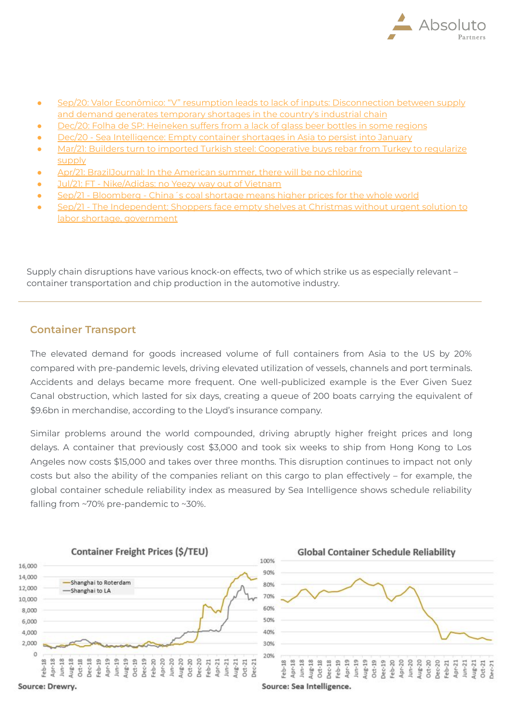

- [Sep/20: Valor Econômico: "V" resumption leads to lack of inputs: Disconnection between supply](https://valor.globo.com/empresas/noticia/2020/09/16/retomada-em-v-leva-a-falta-de-insumos.ghtml) [and demand generates temporary shortages in the country's industrial chain](https://valor.globo.com/empresas/noticia/2020/09/16/retomada-em-v-leva-a-falta-de-insumos.ghtml)
- [Dec/20: Folha de SP: Heineken suffers from a lack of glass beer bottles in some regions](https://www1.folha.uol.com.br/mercado/2020/12/heineken-sofre-com-falta-de-garrafas-de-vidro-para-cerveja-em-algumas-regioes.shtml?origin=folha)
- [Dec/20 Sea Intelligence: Empty container shortages in Asia to persist into January](https://www.sea-intelligence.com/press-room/37-empty-container-shortages-in-asia-to-persist-into-january)
- [Mar/21: Builders turn to imported Turkish steel: Cooperative buys rebar from Turkey to regularize](https://valor.globo.com/empresas/noticia/2021/03/12/construtoras-recorrem-ao-aco-turco-importado.ghtml) [supply](https://valor.globo.com/empresas/noticia/2021/03/12/construtoras-recorrem-ao-aco-turco-importado.ghtml)
- [Apr/21: BrazilJournal: In the American summer, there will be no chlorine](https://braziljournal.com/no-verao-americano-vai-faltar-cloro)
- [Jul/21: FT Nike/Adidas: no Yeezy way out of Vietnam](https://www.ft.com/content/0771dca5-b6f1-4e52-ba97-f663f19e1f19)
- [Sep/21 Bloomberg China´s coal shortage means higher prices for the whole world](https://www.bloomberg.com/news/articles/2021-09-28/china-s-coal-shortage-means-higher-prices-for-the-whole-world)
- 21 The Independent: Shoppers face empty shelves at Christmas without urgent solution to [labor shortage, government](https://www.independent.co.uk/news/business/shoppers-face-empty-shelves-at-christmas-without-urgent-solution-to-labour-shortage-government-warned-b1925805.html)

Supply chain disruptions have various knock-on effects, two of which strike us as especially relevant – container transportation and chip production in the automotive industry.

### **Container Transport**

The elevated demand for goods increased volume of full containers from Asia to the US by 20% compared with pre-pandemic levels, driving elevated utilization of vessels, channels and port terminals. Accidents and delays became more frequent. One well-publicized example is the Ever Given Suez Canal obstruction, which lasted for six days, creating a queue of 200 boats carrying the equivalent of \$9.6bn in merchandise, according to the Lloyd's insurance company.

Similar problems around the world compounded, driving abruptly higher freight prices and long delays. A container that previously cost \$3,000 and took six weeks to ship from Hong Kong to Los Angeles now costs \$15,000 and takes over three months. This disruption continues to impact not only costs but also the ability of the companies reliant on this cargo to plan effectively – for example, the global container schedule reliability index as measured by Sea Intelligence shows schedule reliability falling from ~70% pre-pandemic to ~30%.

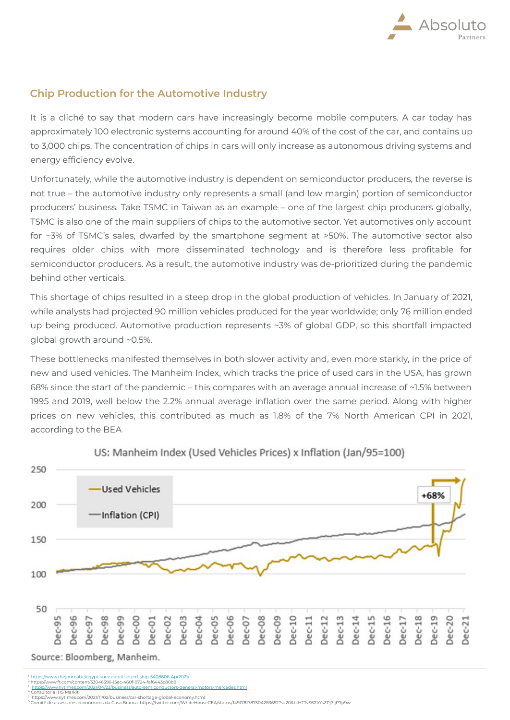

### **Chip Production for the Automotive Industry**

It is a cliché to say that modern cars have increasingly become mobile computers. A car today has approximately 100 electronic systems accounting for around 40% of the cost of the car, and contains up to 3,000 chips. The concentration of chips in cars will only increase as autonomous driving systems and energy efficiency evolve.

Unfortunately, while the automotive industry is dependent on semiconductor producers, the reverse is not true – the automotive industry only represents a small (and low margin) portion of semiconductor producers' business. Take TSMC in Taiwan as an example – one of the largest chip producers globally, TSMC is also one of the main suppliers of chips to the automotive sector. Yet automotives only account for ~3% of TSMC's sales, dwarfed by the smartphone segment at >50%. The automotive sector also requires older chips with more disseminated technology and is therefore less profitable for semiconductor producers. As a result, the automotive industry was de-prioritized during the pandemic behind other verticals.

This shortage of chips resulted in a steep drop in the global production of vehicles. In January of 2021, while analysts had projected 90 million vehicles produced for the year worldwide; only 76 million ended up being produced. Automotive production represents ~3% of global GDP, so this shortfall impacted global growth around ~0.5%.

These bottlenecks manifested themselves in both slower activity and, even more starkly, in the price of new and used vehicles. The Manheim Index, which tracks the price of used cars in the USA, has grown 68% since the start of the pandemic – this compares with an average annual increase of ~1.5% between 1995 and 2019, well below the 2.2% annual average inflation over the same period. Along with higher prices on new vehicles, this contributed as much as 1.8% of the 7% North American CPI in 2021, according to the BEA



US: Manheim Index (Used Vehicles Prices) x Inflation (Jan/95=100)

1 <https://www.thejournal.ie/egypt-suez-canal-seized-ship-5408806-Apr2021/> 2 https://www.ft.com/content/33046396-15ec-460f-9724-faf6443c80b8

3 <https://www.nytimes.com/2021/04/23/business/auto-semiconductors-general-motors-mercedes.html> 4 Consultoria IHS Markit

5

<sup>5</sup> https://www.nytimes.com/2021/11/02/business/car-shortage-global-economy.html<br><sup>6</sup> Comitê de assessores econômicos da Casa Branca: https://twitter.com/WhiteHouseCEA/status/1491781787504283652?s=20&t=HTTvS621rYsZPj7IjP7p9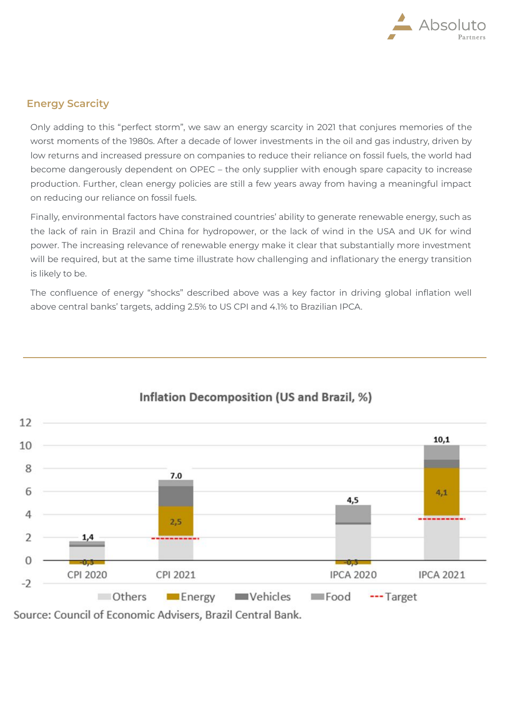

# **Energy Scarcity**

Only adding to this "perfect storm", we saw an energy scarcity in 2021 that conjures memories of the worst moments of the 1980s. After a decade of lower investments in the oil and gas industry, driven by low returns and increased pressure on companies to reduce their reliance on fossil fuels, the world had become dangerously dependent on OPEC – the only supplier with enough spare capacity to increase production. Further, clean energy policies are still a few years away from having a meaningful impact on reducing our reliance on fossil fuels.

Finally, environmental factors have constrained countries' ability to generate renewable energy, such as the lack of rain in Brazil and China for hydropower, or the lack of wind in the USA and UK for wind power. The increasing relevance of renewable energy make it clear that substantially more investment will be required, but at the same time illustrate how challenging and inflationary the energy transition is likely to be.

The confluence of energy "shocks" described above was a key factor in driving global inflation well above central banks' targets, adding 2.5% to US CPI and 4.1% to Brazilian IPCA.



# Inflation Decomposition (US and Brazil, %)

Source: Council of Economic Advisers, Brazil Central Bank.